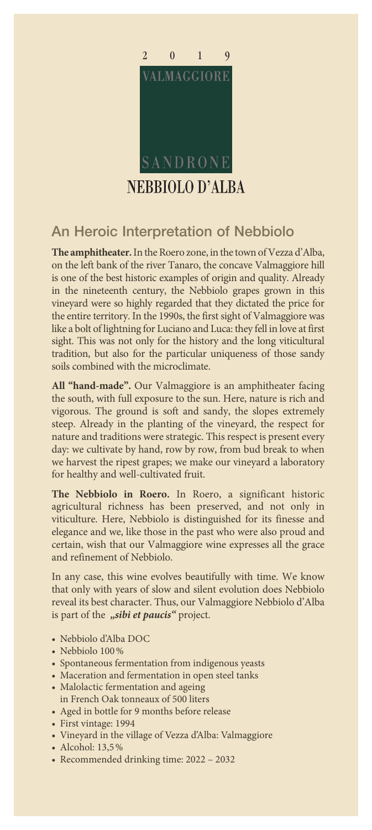

## An Heroic Interpretation of Nebbiolo

**The amphitheater.** In the Roero zone, in the town of Vezza d'Alba, on the left bank of the river Tanaro, the concave Valmaggiore hill is one of the best historic examples of origin and quality. Already in the nineteenth century, the Nebbiolo grapes grown in this vineyard were so highly regarded that they dictated the price for the entire territory. In the 1990s, the first sight of Valmaggiore was like a bolt of lightning for Luciano and Luca: they fell in love at first sight. This was not only for the history and the long viticultural tradition, but also for the particular uniqueness of those sandy soils combined with the microclimate.

**All "hand-made".** Our Valmaggiore is an amphitheater facing the south, with full exposure to the sun. Here, nature is rich and vigorous. The ground is soft and sandy, the slopes extremely steep. Already in the planting of the vineyard, the respect for nature and traditions were strategic. This respect is present every day: we cultivate by hand, row by row, from bud break to when we harvest the ripest grapes; we make our vineyard a laboratory for healthy and well-cultivated fruit.

**The Nebbiolo in Roero.** In Roero, a significant historic agricultural richness has been preserved, and not only in viticulture. Here, Nebbiolo is distinguished for its finesse and elegance and we, like those in the past who were also proud and certain, wish that our Valmaggiore wine expresses all the grace and refinement of Nebbiolo.

In any case, this wine evolves beautifully with time. We know that only with years of slow and silent evolution does Nebbiolo reveal its best character. Thus, our Valmaggiore Nebbiolo d'Alba is part of the "sibi et paucis" project.

- Nebbiolo d'Alba DOC
- Nebbiolo 100%
- Spontaneous fermentation from indigenous yeasts
- Maceration and fermentation in open steel tanks
- Malolactic fermentation and ageing
- in French Oak tonneaux of 500 liters
- Aged in bottle for 9 months before release
- First vintage: 1994
- Vineyard in the village of Vezza d'Alba: Valmaggiore
- Alcohol: 13,5%
- Recommended drinking time: 2022 2032